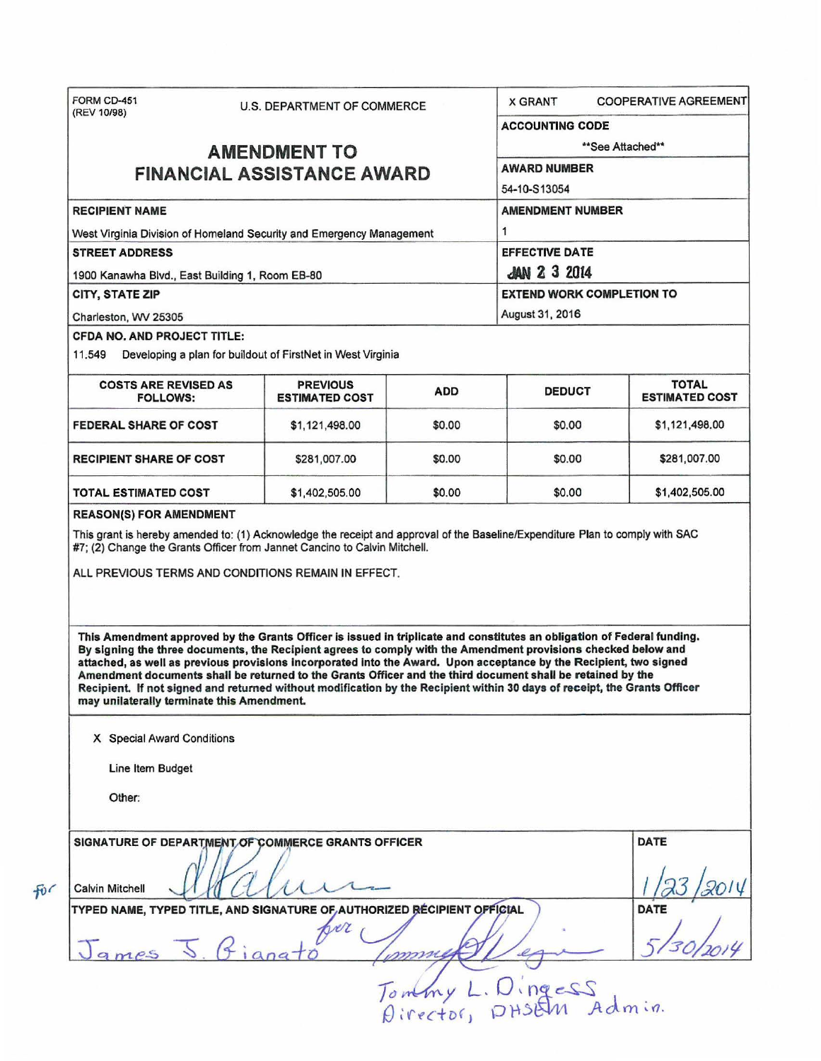| (REV 10/98)                                                                                   |                                                                                                                                                                                                                                                                                                                                                                                                                                                                                                                                                                                                             |                  |                                            |                                       |  |                                                 |
|-----------------------------------------------------------------------------------------------|-------------------------------------------------------------------------------------------------------------------------------------------------------------------------------------------------------------------------------------------------------------------------------------------------------------------------------------------------------------------------------------------------------------------------------------------------------------------------------------------------------------------------------------------------------------------------------------------------------------|------------------|--------------------------------------------|---------------------------------------|--|-------------------------------------------------|
|                                                                                               |                                                                                                                                                                                                                                                                                                                                                                                                                                                                                                                                                                                                             |                  | <b>ACCOUNTING CODE</b>                     |                                       |  |                                                 |
|                                                                                               | <b>AMENDMENT TO</b>                                                                                                                                                                                                                                                                                                                                                                                                                                                                                                                                                                                         | **See Attached** |                                            |                                       |  |                                                 |
| <b>FINANCIAL ASSISTANCE AWARD</b>                                                             |                                                                                                                                                                                                                                                                                                                                                                                                                                                                                                                                                                                                             |                  | <b>AWARD NUMBER</b>                        |                                       |  |                                                 |
|                                                                                               |                                                                                                                                                                                                                                                                                                                                                                                                                                                                                                                                                                                                             | 54-10-S13054     |                                            |                                       |  |                                                 |
| <b>RECIPIENT NAME</b>                                                                         |                                                                                                                                                                                                                                                                                                                                                                                                                                                                                                                                                                                                             |                  | <b>AMENDMENT NUMBER</b>                    |                                       |  |                                                 |
| West Virginia Division of Homeland Security and Emergency Management<br><b>STREET ADDRESS</b> |                                                                                                                                                                                                                                                                                                                                                                                                                                                                                                                                                                                                             |                  | 1<br><b>EFFECTIVE DATE</b>                 |                                       |  |                                                 |
|                                                                                               |                                                                                                                                                                                                                                                                                                                                                                                                                                                                                                                                                                                                             |                  |                                            |                                       |  | 1900 Kanawha Blvd., East Building 1, Room EB-80 |
|                                                                                               | CITY, STATE ZIP                                                                                                                                                                                                                                                                                                                                                                                                                                                                                                                                                                                             |                  |                                            | <b>EXTEND WORK COMPLETION TO</b>      |  |                                                 |
| Charleston, WV 25305                                                                          |                                                                                                                                                                                                                                                                                                                                                                                                                                                                                                                                                                                                             |                  | August 31, 2016                            |                                       |  |                                                 |
| <b>CFDA NO. AND PROJECT TITLE:</b><br>11.549                                                  | Developing a plan for buildout of FirstNet in West Virginia                                                                                                                                                                                                                                                                                                                                                                                                                                                                                                                                                 |                  |                                            |                                       |  |                                                 |
| <b>COSTS ARE REVISED AS</b><br><b>FOLLOWS:</b>                                                | <b>PREVIOUS</b><br><b>ESTIMATED COST</b>                                                                                                                                                                                                                                                                                                                                                                                                                                                                                                                                                                    | <b>ADD</b>       | <b>DEDUCT</b>                              | <b>TOTAL</b><br><b>ESTIMATED COST</b> |  |                                                 |
| <b>FEDERAL SHARE OF COST</b>                                                                  | \$1,121,498.00                                                                                                                                                                                                                                                                                                                                                                                                                                                                                                                                                                                              | \$0.00           | \$0.00                                     | \$1,121,498.00                        |  |                                                 |
| <b>RECIPIENT SHARE OF COST</b>                                                                | \$281,007.00                                                                                                                                                                                                                                                                                                                                                                                                                                                                                                                                                                                                | \$0.00           | \$0.00                                     | \$281,007.00                          |  |                                                 |
| TOTAL ESTIMATED COST                                                                          | \$1,402,505.00                                                                                                                                                                                                                                                                                                                                                                                                                                                                                                                                                                                              | \$0.00           | \$0.00                                     | \$1,402,505.00                        |  |                                                 |
|                                                                                               |                                                                                                                                                                                                                                                                                                                                                                                                                                                                                                                                                                                                             |                  |                                            |                                       |  |                                                 |
| ALL PREVIOUS TERMS AND CONDITIONS REMAIN IN EFFECT.                                           | This Amendment approved by the Grants Officer is issued in triplicate and constitutes an obligation of Federal funding.<br>By signing the three documents, the Recipient agrees to comply with the Amendment provisions checked below and<br>attached, as well as previous provisions incorporated into the Award. Upon acceptance by the Recipient, two signed<br>Amendment documents shall be returned to the Grants Officer and the third document shall be retained by the<br>Recipient. If not signed and returned without modification by the Recipient within 30 days of receipt, the Grants Officer |                  |                                            |                                       |  |                                                 |
| may unilaterally terminate this Amendment.<br>X Special Award Conditions                      |                                                                                                                                                                                                                                                                                                                                                                                                                                                                                                                                                                                                             |                  |                                            |                                       |  |                                                 |
|                                                                                               |                                                                                                                                                                                                                                                                                                                                                                                                                                                                                                                                                                                                             |                  |                                            |                                       |  |                                                 |
| Line Item Budget                                                                              |                                                                                                                                                                                                                                                                                                                                                                                                                                                                                                                                                                                                             |                  |                                            |                                       |  |                                                 |
| Other:                                                                                        |                                                                                                                                                                                                                                                                                                                                                                                                                                                                                                                                                                                                             |                  |                                            |                                       |  |                                                 |
| SIGNATURE OF DEPARTMENT OF COMMERCE GRANTS OFFICER                                            |                                                                                                                                                                                                                                                                                                                                                                                                                                                                                                                                                                                                             |                  |                                            | <b>DATE</b>                           |  |                                                 |
| <b>Calvin Mitchell</b>                                                                        |                                                                                                                                                                                                                                                                                                                                                                                                                                                                                                                                                                                                             |                  |                                            |                                       |  |                                                 |
| TYPED NAME, TYPED TITLE, AND SIGNATURE OF AUTHORIZED RÉCIPIENT OFFICIAL                       |                                                                                                                                                                                                                                                                                                                                                                                                                                                                                                                                                                                                             |                  |                                            | DATE                                  |  |                                                 |
| James 5.6i                                                                                    | proz                                                                                                                                                                                                                                                                                                                                                                                                                                                                                                                                                                                                        |                  |                                            |                                       |  |                                                 |
|                                                                                               |                                                                                                                                                                                                                                                                                                                                                                                                                                                                                                                                                                                                             |                  |                                            |                                       |  |                                                 |
|                                                                                               |                                                                                                                                                                                                                                                                                                                                                                                                                                                                                                                                                                                                             |                  | Tommy L. Dingess<br>Director, DHSEM Admin. |                                       |  |                                                 |